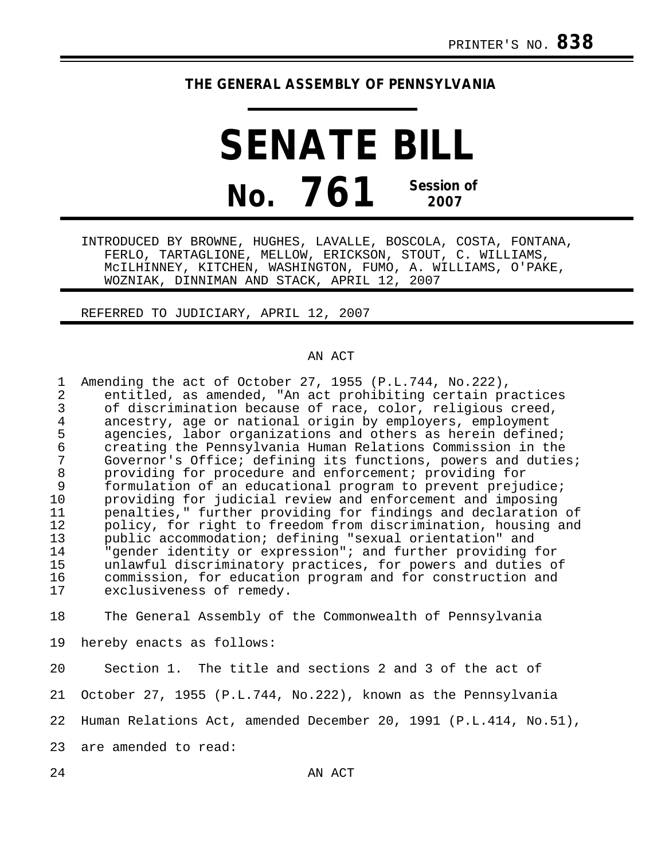## **THE GENERAL ASSEMBLY OF PENNSYLVANIA**

**SENATE BILL No. 761 Session of 2007**

INTRODUCED BY BROWNE, HUGHES, LAVALLE, BOSCOLA, COSTA, FONTANA, FERLO, TARTAGLIONE, MELLOW, ERICKSON, STOUT, C. WILLIAMS, McILHINNEY, KITCHEN, WASHINGTON, FUMO, A. WILLIAMS, O'PAKE, WOZNIAK, DINNIMAN AND STACK, APRIL 12, 2007

REFERRED TO JUDICIARY, APRIL 12, 2007

## AN ACT

| 1<br>2<br>3<br>$\overline{4}$<br>5<br>6<br>8<br>9<br>10<br>11<br>12<br>13<br>14<br>15<br>16<br>17 | Amending the act of October 27, 1955 (P.L.744, No.222),<br>entitled, as amended, "An act prohibiting certain practices<br>of discrimination because of race, color, religious creed,<br>ancestry, age or national origin by employers, employment<br>agencies, labor organizations and others as herein defined;<br>creating the Pennsylvania Human Relations Commission in the<br>Governor's Office; defining its functions, powers and duties;<br>providing for procedure and enforcement; providing for<br>formulation of an educational program to prevent prejudice;<br>providing for judicial review and enforcement and imposing<br>penalties," further providing for findings and declaration of<br>policy, for right to freedom from discrimination, housing and<br>public accommodation; defining "sexual orientation" and<br>"gender identity or expression"; and further providing for<br>unlawful discriminatory practices, for powers and duties of<br>commission, for education program and for construction and<br>exclusiveness of remedy. |
|---------------------------------------------------------------------------------------------------|-------------------------------------------------------------------------------------------------------------------------------------------------------------------------------------------------------------------------------------------------------------------------------------------------------------------------------------------------------------------------------------------------------------------------------------------------------------------------------------------------------------------------------------------------------------------------------------------------------------------------------------------------------------------------------------------------------------------------------------------------------------------------------------------------------------------------------------------------------------------------------------------------------------------------------------------------------------------------------------------------------------------------------------------------------------|
| 18                                                                                                | The General Assembly of the Commonwealth of Pennsylvania                                                                                                                                                                                                                                                                                                                                                                                                                                                                                                                                                                                                                                                                                                                                                                                                                                                                                                                                                                                                    |
| 19                                                                                                | hereby enacts as follows:                                                                                                                                                                                                                                                                                                                                                                                                                                                                                                                                                                                                                                                                                                                                                                                                                                                                                                                                                                                                                                   |

20 Section 1. The title and sections 2 and 3 of the act of

21 October 27, 1955 (P.L.744, No.222), known as the Pennsylvania

22 Human Relations Act, amended December 20, 1991 (P.L.414, No.51),

23 are amended to read: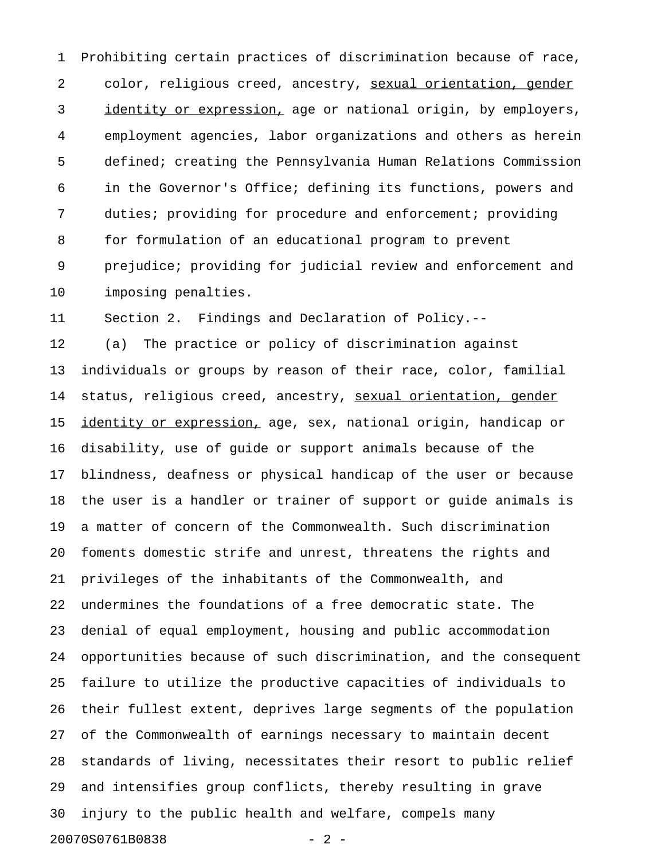1 Prohibiting certain practices of discrimination because of race, 2 color, religious creed, ancestry, sexual orientation, gender 3 identity or expression, age or national origin, by employers, 4 employment agencies, labor organizations and others as herein 5 defined; creating the Pennsylvania Human Relations Commission 6 in the Governor's Office; defining its functions, powers and 7 duties; providing for procedure and enforcement; providing 8 for formulation of an educational program to prevent 9 prejudice; providing for judicial review and enforcement and 10 imposing penalties.

11 Section 2. Findings and Declaration of Policy.--

12 (a) The practice or policy of discrimination against 13 individuals or groups by reason of their race, color, familial 14 status, religious creed, ancestry, sexual orientation, gender 15 identity or expression, age, sex, national origin, handicap or 16 disability, use of guide or support animals because of the 17 blindness, deafness or physical handicap of the user or because 18 the user is a handler or trainer of support or guide animals is 19 a matter of concern of the Commonwealth. Such discrimination 20 foments domestic strife and unrest, threatens the rights and 21 privileges of the inhabitants of the Commonwealth, and 22 undermines the foundations of a free democratic state. The 23 denial of equal employment, housing and public accommodation 24 opportunities because of such discrimination, and the consequent 25 failure to utilize the productive capacities of individuals to 26 their fullest extent, deprives large segments of the population 27 of the Commonwealth of earnings necessary to maintain decent 28 standards of living, necessitates their resort to public relief 29 and intensifies group conflicts, thereby resulting in grave 30 injury to the public health and welfare, compels many 20070S0761B0838 - 2 -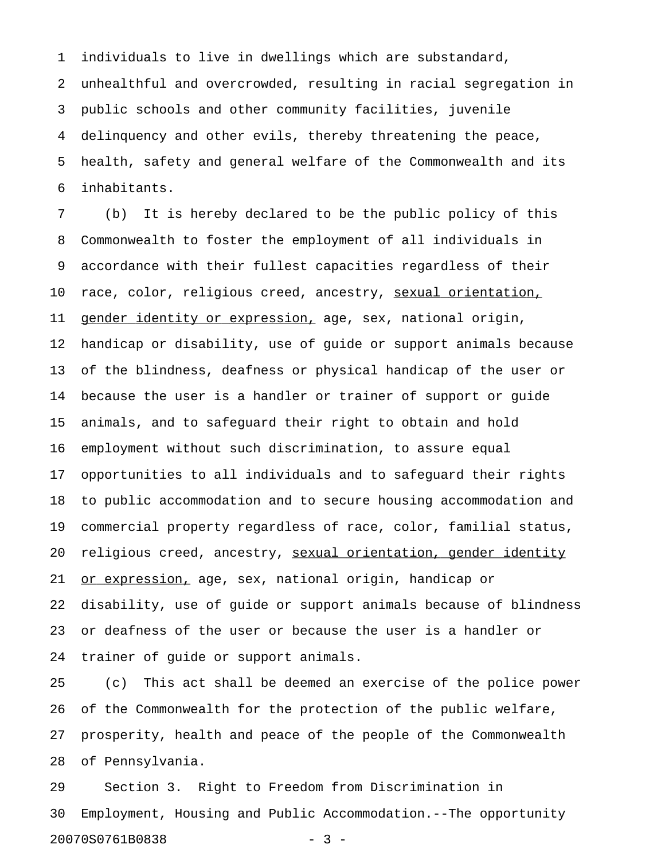1 individuals to live in dwellings which are substandard,

2 unhealthful and overcrowded, resulting in racial segregation in 3 public schools and other community facilities, juvenile 4 delinquency and other evils, thereby threatening the peace, 5 health, safety and general welfare of the Commonwealth and its 6 inhabitants.

7 (b) It is hereby declared to be the public policy of this 8 Commonwealth to foster the employment of all individuals in 9 accordance with their fullest capacities regardless of their 10 race, color, religious creed, ancestry, sexual orientation, 11 gender identity or expression, age, sex, national origin, 12 handicap or disability, use of guide or support animals because 13 of the blindness, deafness or physical handicap of the user or 14 because the user is a handler or trainer of support or guide 15 animals, and to safeguard their right to obtain and hold 16 employment without such discrimination, to assure equal 17 opportunities to all individuals and to safeguard their rights 18 to public accommodation and to secure housing accommodation and 19 commercial property regardless of race, color, familial status, 20 religious creed, ancestry, sexual orientation, gender identity 21 <u>or expression,</u> age, sex, national origin, handicap or 22 disability, use of guide or support animals because of blindness 23 or deafness of the user or because the user is a handler or 24 trainer of guide or support animals.

25 (c) This act shall be deemed an exercise of the police power 26 of the Commonwealth for the protection of the public welfare, 27 prosperity, health and peace of the people of the Commonwealth 28 of Pennsylvania.

29 Section 3. Right to Freedom from Discrimination in 30 Employment, Housing and Public Accommodation.--The opportunity 20070S0761B0838 - 3 -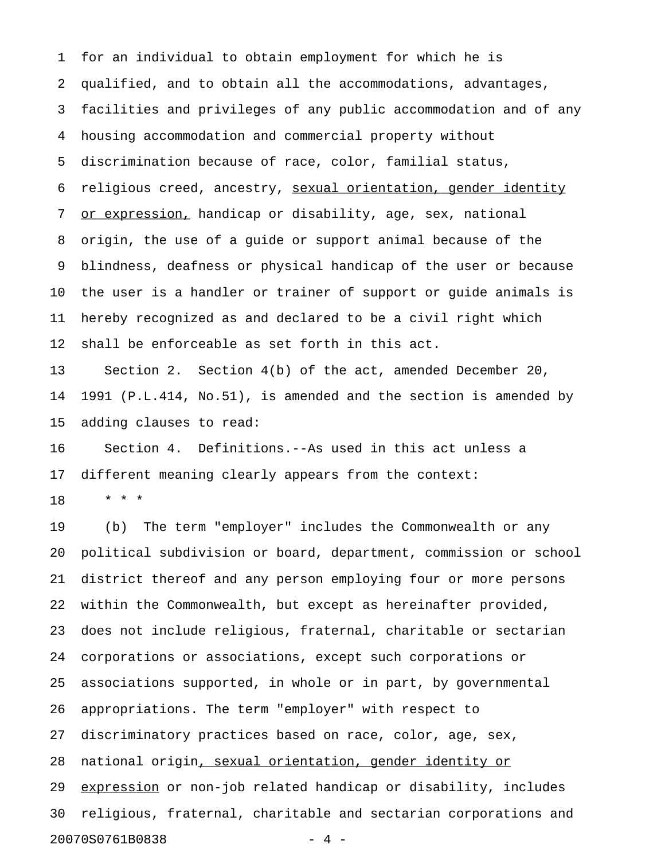1 for an individual to obtain employment for which he is 2 qualified, and to obtain all the accommodations, advantages, 3 facilities and privileges of any public accommodation and of any 4 housing accommodation and commercial property without 5 discrimination because of race, color, familial status, 6 religious creed, ancestry, sexual orientation, gender identity 7 or expression, handicap or disability, age, sex, national 8 origin, the use of a guide or support animal because of the 9 blindness, deafness or physical handicap of the user or because 10 the user is a handler or trainer of support or guide animals is 11 hereby recognized as and declared to be a civil right which 12 shall be enforceable as set forth in this act.

13 Section 2. Section 4(b) of the act, amended December 20, 14 1991 (P.L.414, No.51), is amended and the section is amended by 15 adding clauses to read:

16 Section 4. Definitions.--As used in this act unless a 17 different meaning clearly appears from the context:

18 \* \* \*

19 (b) The term "employer" includes the Commonwealth or any 20 political subdivision or board, department, commission or school 21 district thereof and any person employing four or more persons 22 within the Commonwealth, but except as hereinafter provided, 23 does not include religious, fraternal, charitable or sectarian 24 corporations or associations, except such corporations or 25 associations supported, in whole or in part, by governmental 26 appropriations. The term "employer" with respect to 27 discriminatory practices based on race, color, age, sex, 28 national origin, sexual orientation, gender identity or 29 expression or non-job related handicap or disability, includes 30 religious, fraternal, charitable and sectarian corporations and 20070S0761B0838 - 4 -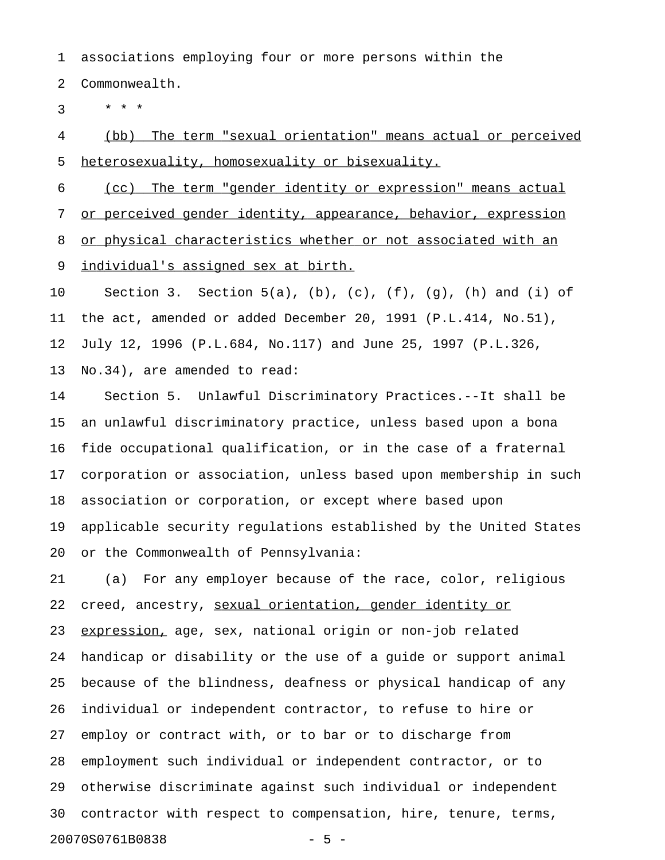1 associations employing four or more persons within the

2 Commonwealth.

 $3 * * * *$ 

4 (bb) The term "sexual orientation" means actual or perceived 5 heterosexuality, homosexuality or bisexuality.

6 (cc) The term "gender identity or expression" means actual 7 or perceived gender identity, appearance, behavior, expression 8 or physical characteristics whether or not associated with an 9 individual's assigned sex at birth.

10 Section 3. Section 5(a), (b), (c), (f), (g), (h) and (i) of 11 the act, amended or added December 20, 1991 (P.L.414, No.51), 12 July 12, 1996 (P.L.684, No.117) and June 25, 1997 (P.L.326, 13 No.34), are amended to read:

14 Section 5. Unlawful Discriminatory Practices.--It shall be 15 an unlawful discriminatory practice, unless based upon a bona 16 fide occupational qualification, or in the case of a fraternal 17 corporation or association, unless based upon membership in such 18 association or corporation, or except where based upon 19 applicable security regulations established by the United States 20 or the Commonwealth of Pennsylvania:

21 (a) For any employer because of the race, color, religious 22 creed, ancestry, sexual orientation, gender identity or 23 expression, age, sex, national origin or non-job related 24 handicap or disability or the use of a guide or support animal 25 because of the blindness, deafness or physical handicap of any 26 individual or independent contractor, to refuse to hire or 27 employ or contract with, or to bar or to discharge from 28 employment such individual or independent contractor, or to 29 otherwise discriminate against such individual or independent 30 contractor with respect to compensation, hire, tenure, terms, 20070S0761B0838 - 5 -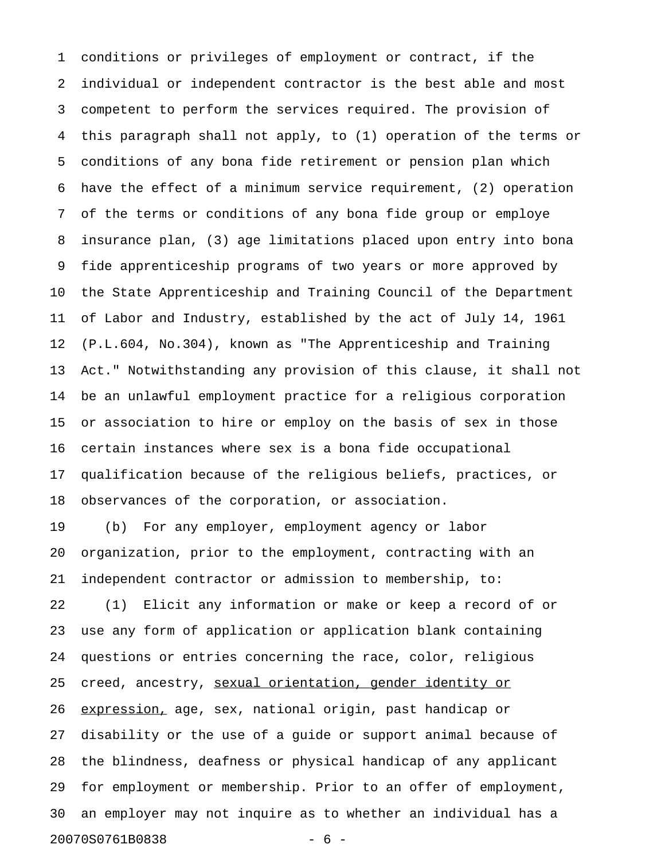1 conditions or privileges of employment or contract, if the 2 individual or independent contractor is the best able and most 3 competent to perform the services required. The provision of 4 this paragraph shall not apply, to (1) operation of the terms or 5 conditions of any bona fide retirement or pension plan which 6 have the effect of a minimum service requirement, (2) operation 7 of the terms or conditions of any bona fide group or employe 8 insurance plan, (3) age limitations placed upon entry into bona 9 fide apprenticeship programs of two years or more approved by 10 the State Apprenticeship and Training Council of the Department 11 of Labor and Industry, established by the act of July 14, 1961 12 (P.L.604, No.304), known as "The Apprenticeship and Training 13 Act." Notwithstanding any provision of this clause, it shall not 14 be an unlawful employment practice for a religious corporation 15 or association to hire or employ on the basis of sex in those 16 certain instances where sex is a bona fide occupational 17 qualification because of the religious beliefs, practices, or 18 observances of the corporation, or association. 19 (b) For any employer, employment agency or labor 20 organization, prior to the employment, contracting with an 21 independent contractor or admission to membership, to: 22 (1) Elicit any information or make or keep a record of or 23 use any form of application or application blank containing 24 questions or entries concerning the race, color, religious 25 creed, ancestry, sexual orientation, gender identity or 26 expression, age, sex, national origin, past handicap or 27 disability or the use of a guide or support animal because of 28 the blindness, deafness or physical handicap of any applicant 29 for employment or membership. Prior to an offer of employment, 30 an employer may not inquire as to whether an individual has a 20070S0761B0838 - 6 -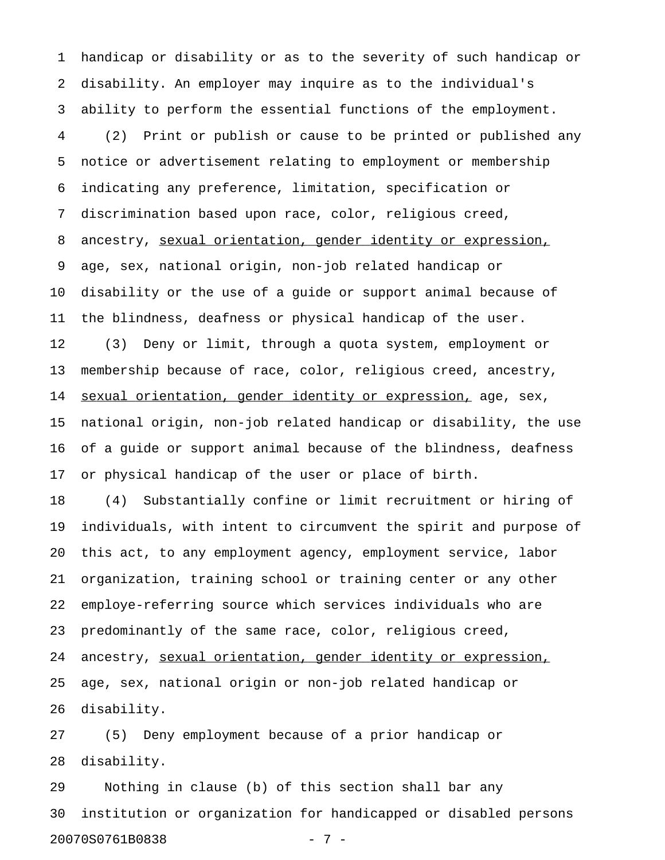1 handicap or disability or as to the severity of such handicap or 2 disability. An employer may inquire as to the individual's 3 ability to perform the essential functions of the employment. 4 (2) Print or publish or cause to be printed or published any 5 notice or advertisement relating to employment or membership 6 indicating any preference, limitation, specification or 7 discrimination based upon race, color, religious creed, 8 ancestry, sexual orientation, gender identity or expression, 9 age, sex, national origin, non-job related handicap or 10 disability or the use of a guide or support animal because of 11 the blindness, deafness or physical handicap of the user. 12 (3) Deny or limit, through a quota system, employment or 13 membership because of race, color, religious creed, ancestry, 14 sexual orientation, gender identity or expression, age, sex, 15 national origin, non-job related handicap or disability, the use 16 of a guide or support animal because of the blindness, deafness 17 or physical handicap of the user or place of birth. 18 (4) Substantially confine or limit recruitment or hiring of

19 individuals, with intent to circumvent the spirit and purpose of 20 this act, to any employment agency, employment service, labor 21 organization, training school or training center or any other 22 employe-referring source which services individuals who are 23 predominantly of the same race, color, religious creed, 24 ancestry, sexual orientation, gender identity or expression, 25 age, sex, national origin or non-job related handicap or 26 disability.

27 (5) Deny employment because of a prior handicap or 28 disability.

29 Nothing in clause (b) of this section shall bar any 30 institution or organization for handicapped or disabled persons 20070S0761B0838 - 7 -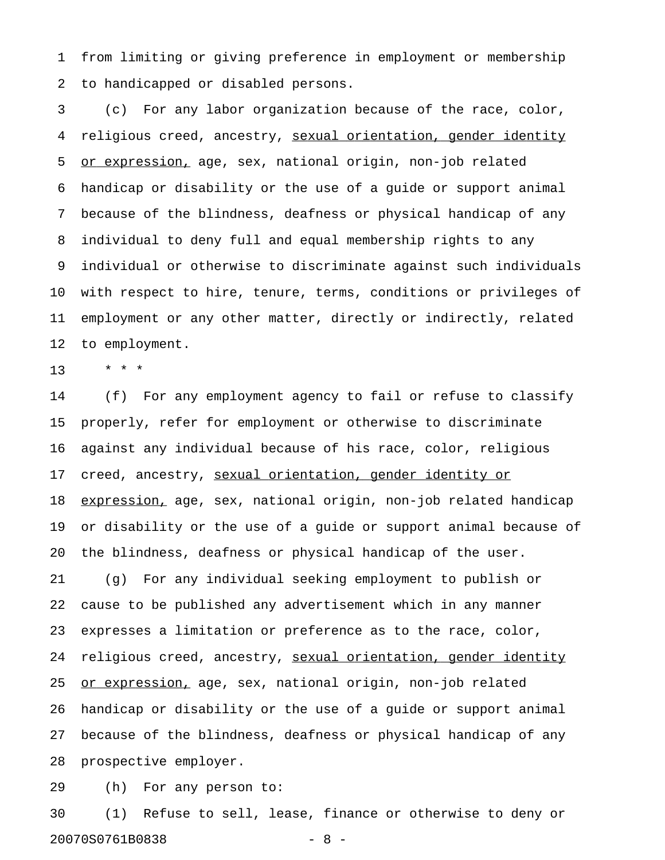1 from limiting or giving preference in employment or membership 2 to handicapped or disabled persons.

3 (c) For any labor organization because of the race, color, 4 religious creed, ancestry, sexual orientation, gender identity 5 or expression, age, sex, national origin, non-job related 6 handicap or disability or the use of a guide or support animal 7 because of the blindness, deafness or physical handicap of any 8 individual to deny full and equal membership rights to any 9 individual or otherwise to discriminate against such individuals 10 with respect to hire, tenure, terms, conditions or privileges of 11 employment or any other matter, directly or indirectly, related 12 to employment.

13 \* \* \*

14 (f) For any employment agency to fail or refuse to classify 15 properly, refer for employment or otherwise to discriminate 16 against any individual because of his race, color, religious 17 creed, ancestry, sexual orientation, gender identity or 18 expression, age, sex, national origin, non-job related handicap 19 or disability or the use of a guide or support animal because of 20 the blindness, deafness or physical handicap of the user. 21 (g) For any individual seeking employment to publish or 22 cause to be published any advertisement which in any manner 23 expresses a limitation or preference as to the race, color, 24 religious creed, ancestry, sexual orientation, gender identity 25 <u>or expression,</u> age, sex, national origin, non-job related 26 handicap or disability or the use of a guide or support animal 27 because of the blindness, deafness or physical handicap of any 28 prospective employer.

29 (h) For any person to:

30 (1) Refuse to sell, lease, finance or otherwise to deny or 20070S0761B0838 - 8 -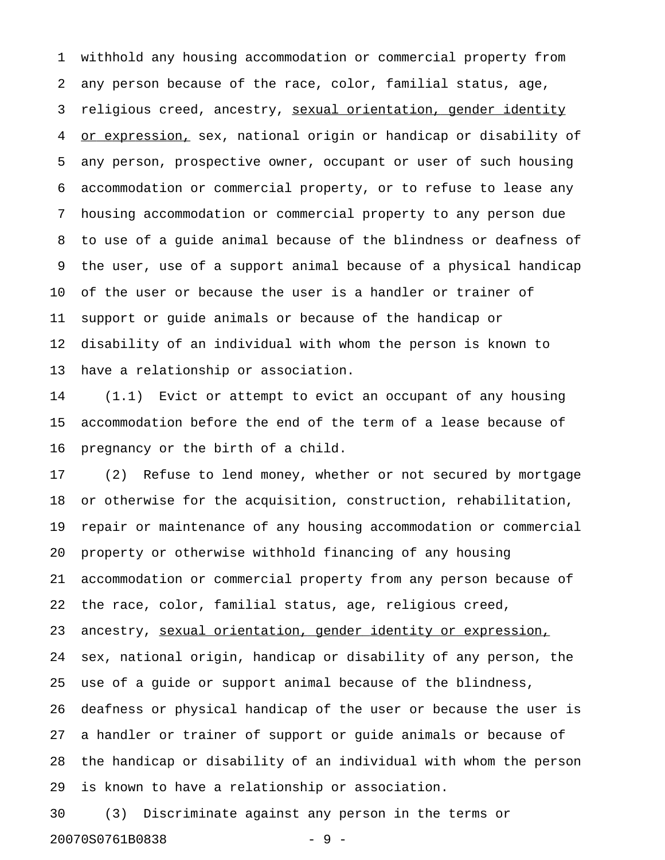1 withhold any housing accommodation or commercial property from 2 any person because of the race, color, familial status, age, 3 religious creed, ancestry, sexual orientation, gender identity 4 or expression, sex, national origin or handicap or disability of 5 any person, prospective owner, occupant or user of such housing 6 accommodation or commercial property, or to refuse to lease any 7 housing accommodation or commercial property to any person due 8 to use of a guide animal because of the blindness or deafness of 9 the user, use of a support animal because of a physical handicap 10 of the user or because the user is a handler or trainer of 11 support or guide animals or because of the handicap or 12 disability of an individual with whom the person is known to 13 have a relationship or association.

14 (1.1) Evict or attempt to evict an occupant of any housing 15 accommodation before the end of the term of a lease because of 16 pregnancy or the birth of a child.

17 (2) Refuse to lend money, whether or not secured by mortgage 18 or otherwise for the acquisition, construction, rehabilitation, 19 repair or maintenance of any housing accommodation or commercial 20 property or otherwise withhold financing of any housing 21 accommodation or commercial property from any person because of 22 the race, color, familial status, age, religious creed, 23 ancestry, sexual orientation, gender identity or expression, 24 sex, national origin, handicap or disability of any person, the 25 use of a guide or support animal because of the blindness, 26 deafness or physical handicap of the user or because the user is 27 a handler or trainer of support or guide animals or because of 28 the handicap or disability of an individual with whom the person 29 is known to have a relationship or association.

30 (3) Discriminate against any person in the terms or 20070S0761B0838 - 9 -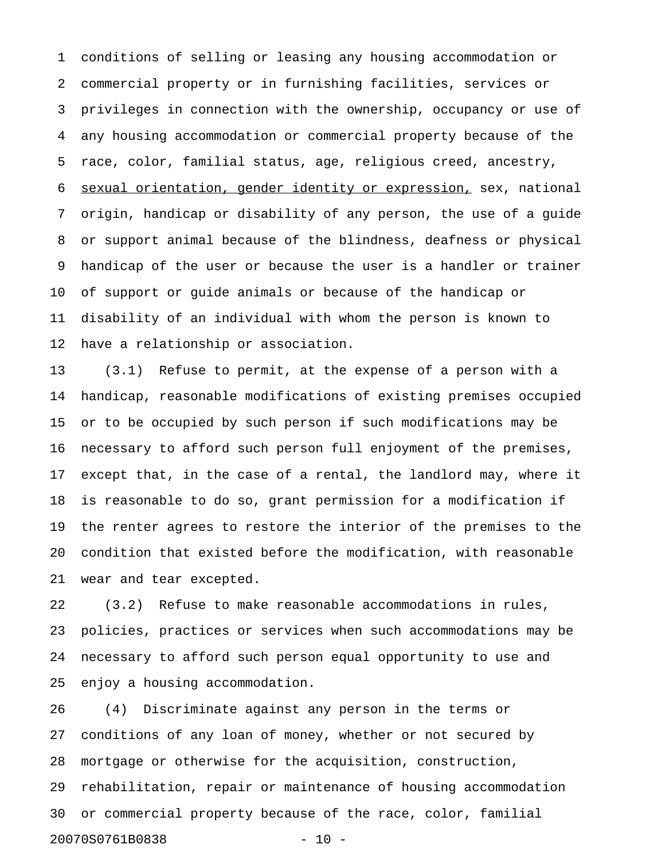1 conditions of selling or leasing any housing accommodation or 2 commercial property or in furnishing facilities, services or 3 privileges in connection with the ownership, occupancy or use of 4 any housing accommodation or commercial property because of the 5 race, color, familial status, age, religious creed, ancestry, 6 sexual orientation, gender identity or expression, sex, national 7 origin, handicap or disability of any person, the use of a guide 8 or support animal because of the blindness, deafness or physical 9 handicap of the user or because the user is a handler or trainer 10 of support or guide animals or because of the handicap or 11 disability of an individual with whom the person is known to 12 have a relationship or association.

13 (3.1) Refuse to permit, at the expense of a person with a 14 handicap, reasonable modifications of existing premises occupied 15 or to be occupied by such person if such modifications may be 16 necessary to afford such person full enjoyment of the premises, 17 except that, in the case of a rental, the landlord may, where it 18 is reasonable to do so, grant permission for a modification if 19 the renter agrees to restore the interior of the premises to the 20 condition that existed before the modification, with reasonable 21 wear and tear excepted.

22 (3.2) Refuse to make reasonable accommodations in rules, 23 policies, practices or services when such accommodations may be 24 necessary to afford such person equal opportunity to use and 25 enjoy a housing accommodation.

26 (4) Discriminate against any person in the terms or 27 conditions of any loan of money, whether or not secured by 28 mortgage or otherwise for the acquisition, construction, 29 rehabilitation, repair or maintenance of housing accommodation 30 or commercial property because of the race, color, familial 20070S0761B0838 - 10 -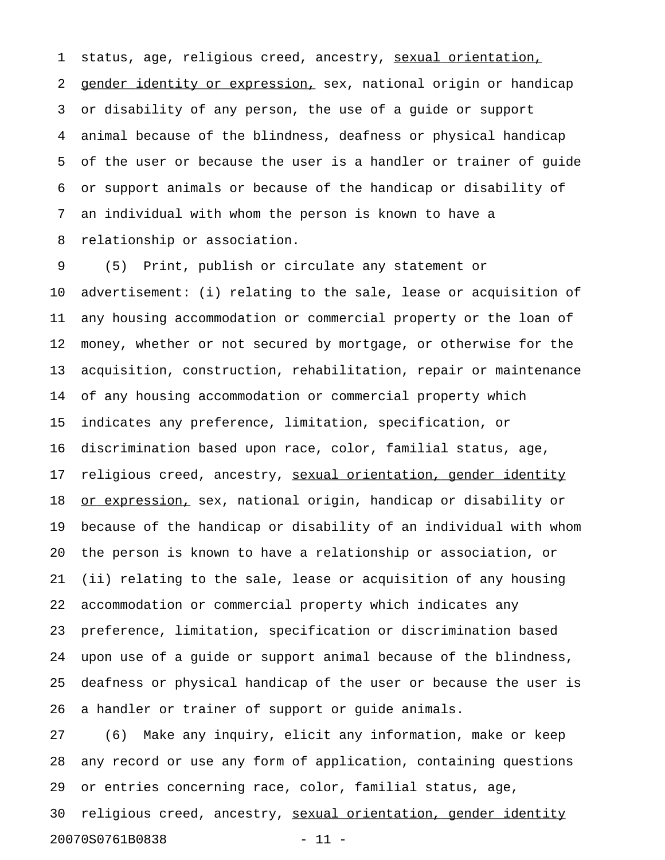1 status, age, religious creed, ancestry, sexual orientation, 2 gender identity or expression, sex, national origin or handicap 3 or disability of any person, the use of a guide or support 4 animal because of the blindness, deafness or physical handicap 5 of the user or because the user is a handler or trainer of guide 6 or support animals or because of the handicap or disability of 7 an individual with whom the person is known to have a 8 relationship or association.

9 (5) Print, publish or circulate any statement or 10 advertisement: (i) relating to the sale, lease or acquisition of 11 any housing accommodation or commercial property or the loan of 12 money, whether or not secured by mortgage, or otherwise for the 13 acquisition, construction, rehabilitation, repair or maintenance 14 of any housing accommodation or commercial property which 15 indicates any preference, limitation, specification, or 16 discrimination based upon race, color, familial status, age, 17 religious creed, ancestry, sexual orientation, gender identity 18 or expression, sex, national origin, handicap or disability or 19 because of the handicap or disability of an individual with whom 20 the person is known to have a relationship or association, or 21 (ii) relating to the sale, lease or acquisition of any housing 22 accommodation or commercial property which indicates any 23 preference, limitation, specification or discrimination based 24 upon use of a guide or support animal because of the blindness, 25 deafness or physical handicap of the user or because the user is 26 a handler or trainer of support or guide animals.

27 (6) Make any inquiry, elicit any information, make or keep 28 any record or use any form of application, containing questions 29 or entries concerning race, color, familial status, age, 30 religious creed, ancestry, sexual orientation, gender identity 20070S0761B0838 - 11 -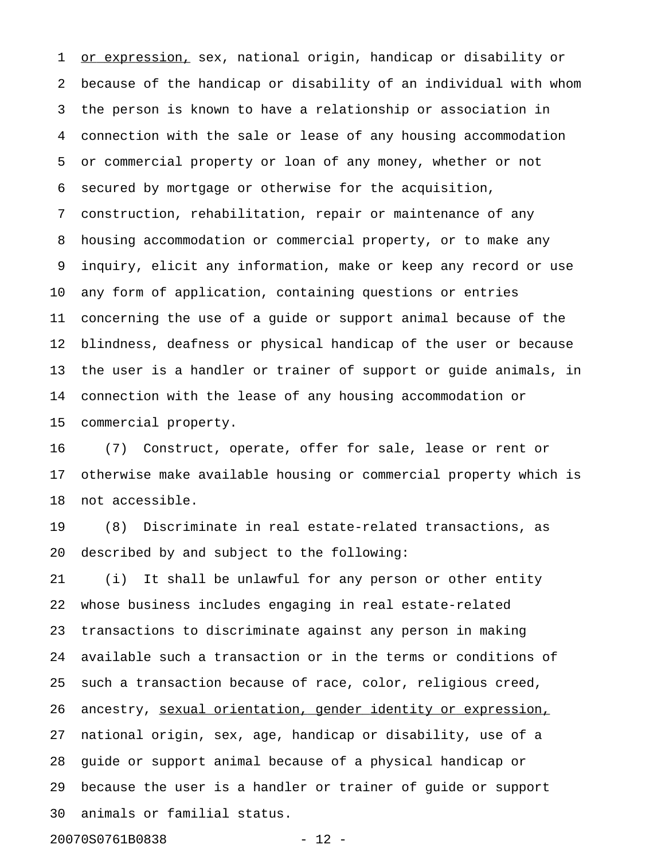1 or expression, sex, national origin, handicap or disability or 2 because of the handicap or disability of an individual with whom 3 the person is known to have a relationship or association in 4 connection with the sale or lease of any housing accommodation 5 or commercial property or loan of any money, whether or not 6 secured by mortgage or otherwise for the acquisition, 7 construction, rehabilitation, repair or maintenance of any 8 housing accommodation or commercial property, or to make any 9 inquiry, elicit any information, make or keep any record or use 10 any form of application, containing questions or entries 11 concerning the use of a guide or support animal because of the 12 blindness, deafness or physical handicap of the user or because 13 the user is a handler or trainer of support or guide animals, in 14 connection with the lease of any housing accommodation or 15 commercial property.

16 (7) Construct, operate, offer for sale, lease or rent or 17 otherwise make available housing or commercial property which is 18 not accessible.

19 (8) Discriminate in real estate-related transactions, as 20 described by and subject to the following:

21 (i) It shall be unlawful for any person or other entity 22 whose business includes engaging in real estate-related 23 transactions to discriminate against any person in making 24 available such a transaction or in the terms or conditions of 25 such a transaction because of race, color, religious creed, 26 ancestry, sexual orientation, gender identity or expression, 27 national origin, sex, age, handicap or disability, use of a 28 guide or support animal because of a physical handicap or 29 because the user is a handler or trainer of guide or support 30 animals or familial status.

20070S0761B0838 - 12 -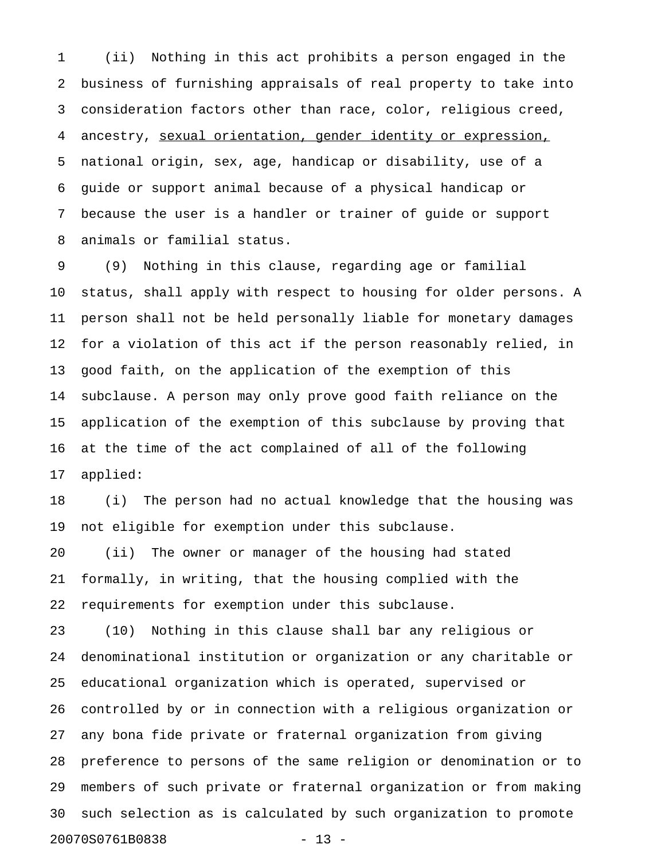1 (ii) Nothing in this act prohibits a person engaged in the 2 business of furnishing appraisals of real property to take into 3 consideration factors other than race, color, religious creed, 4 ancestry, sexual orientation, gender identity or expression, 5 national origin, sex, age, handicap or disability, use of a 6 guide or support animal because of a physical handicap or 7 because the user is a handler or trainer of guide or support 8 animals or familial status.

9 (9) Nothing in this clause, regarding age or familial 10 status, shall apply with respect to housing for older persons. A 11 person shall not be held personally liable for monetary damages 12 for a violation of this act if the person reasonably relied, in 13 good faith, on the application of the exemption of this 14 subclause. A person may only prove good faith reliance on the 15 application of the exemption of this subclause by proving that 16 at the time of the act complained of all of the following 17 applied:

18 (i) The person had no actual knowledge that the housing was 19 not eligible for exemption under this subclause.

20 (ii) The owner or manager of the housing had stated 21 formally, in writing, that the housing complied with the 22 requirements for exemption under this subclause.

23 (10) Nothing in this clause shall bar any religious or 24 denominational institution or organization or any charitable or 25 educational organization which is operated, supervised or 26 controlled by or in connection with a religious organization or 27 any bona fide private or fraternal organization from giving 28 preference to persons of the same religion or denomination or to 29 members of such private or fraternal organization or from making 30 such selection as is calculated by such organization to promote 20070S0761B0838 - 13 -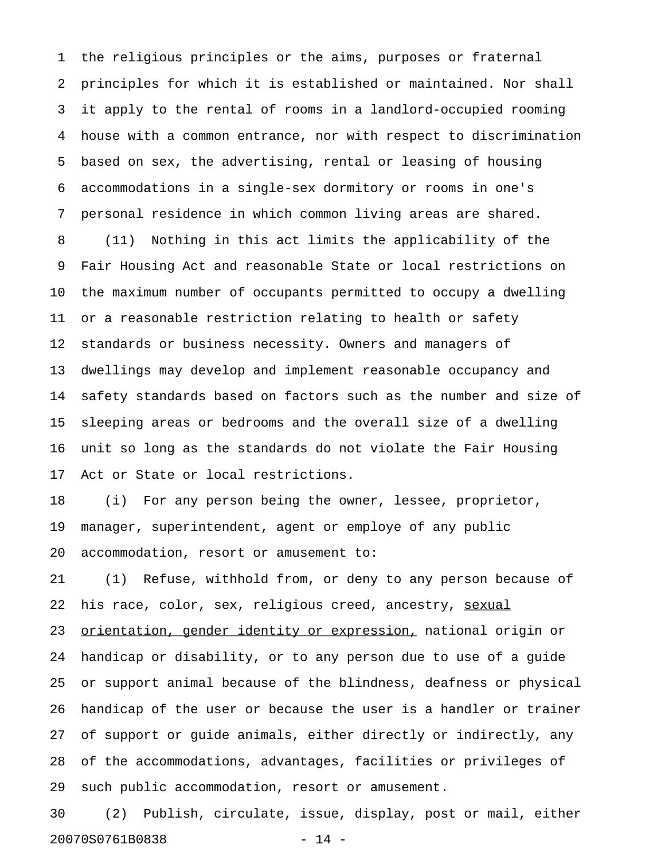1 the religious principles or the aims, purposes or fraternal 2 principles for which it is established or maintained. Nor shall 3 it apply to the rental of rooms in a landlord-occupied rooming 4 house with a common entrance, nor with respect to discrimination 5 based on sex, the advertising, rental or leasing of housing 6 accommodations in a single-sex dormitory or rooms in one's 7 personal residence in which common living areas are shared. 8 (11) Nothing in this act limits the applicability of the 9 Fair Housing Act and reasonable State or local restrictions on 10 the maximum number of occupants permitted to occupy a dwelling 11 or a reasonable restriction relating to health or safety 12 standards or business necessity. Owners and managers of 13 dwellings may develop and implement reasonable occupancy and 14 safety standards based on factors such as the number and size of 15 sleeping areas or bedrooms and the overall size of a dwelling 16 unit so long as the standards do not violate the Fair Housing 17 Act or State or local restrictions.

18 (i) For any person being the owner, lessee, proprietor, 19 manager, superintendent, agent or employe of any public 20 accommodation, resort or amusement to:

21 (1) Refuse, withhold from, or deny to any person because of 22 his race, color, sex, religious creed, ancestry, sexual 23 orientation, gender identity or expression, national origin or 24 handicap or disability, or to any person due to use of a guide 25 or support animal because of the blindness, deafness or physical 26 handicap of the user or because the user is a handler or trainer 27 of support or guide animals, either directly or indirectly, any 28 of the accommodations, advantages, facilities or privileges of 29 such public accommodation, resort or amusement.

30 (2) Publish, circulate, issue, display, post or mail, either 20070S0761B0838 - 14 -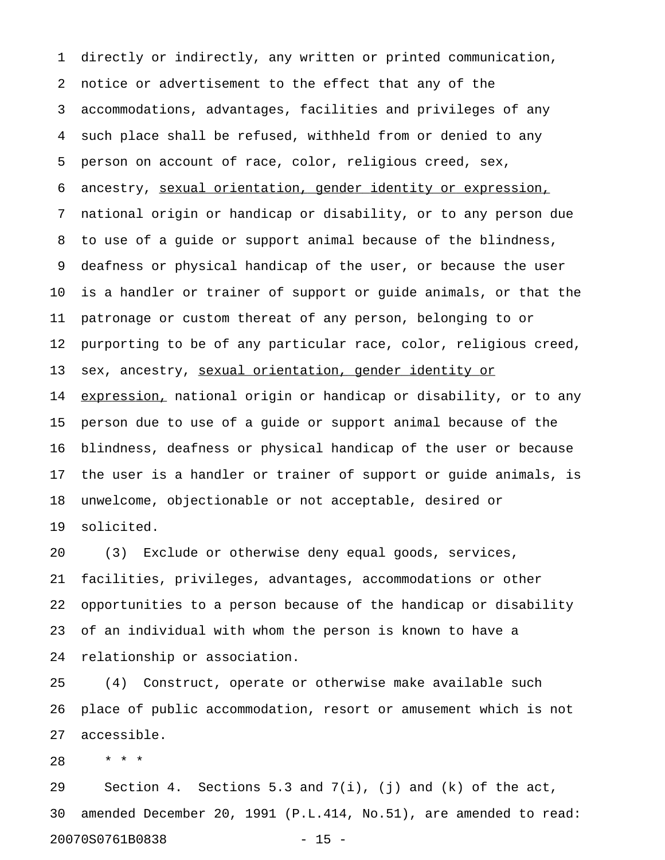1 directly or indirectly, any written or printed communication, 2 notice or advertisement to the effect that any of the 3 accommodations, advantages, facilities and privileges of any 4 such place shall be refused, withheld from or denied to any 5 person on account of race, color, religious creed, sex, 6 ancestry, sexual orientation, gender identity or expression, 7 national origin or handicap or disability, or to any person due 8 to use of a guide or support animal because of the blindness, 9 deafness or physical handicap of the user, or because the user 10 is a handler or trainer of support or guide animals, or that the 11 patronage or custom thereat of any person, belonging to or 12 purporting to be of any particular race, color, religious creed, 13 sex, ancestry, sexual orientation, gender identity or 14 expression, national origin or handicap or disability, or to any 15 person due to use of a guide or support animal because of the 16 blindness, deafness or physical handicap of the user or because 17 the user is a handler or trainer of support or guide animals, is 18 unwelcome, objectionable or not acceptable, desired or 19 solicited.

20 (3) Exclude or otherwise deny equal goods, services, 21 facilities, privileges, advantages, accommodations or other 22 opportunities to a person because of the handicap or disability 23 of an individual with whom the person is known to have a 24 relationship or association.

25 (4) Construct, operate or otherwise make available such 26 place of public accommodation, resort or amusement which is not 27 accessible.

28 \* \* \*

29 Section 4. Sections 5.3 and 7(i), (j) and (k) of the act, 30 amended December 20, 1991 (P.L.414, No.51), are amended to read: 20070S0761B0838 - 15 -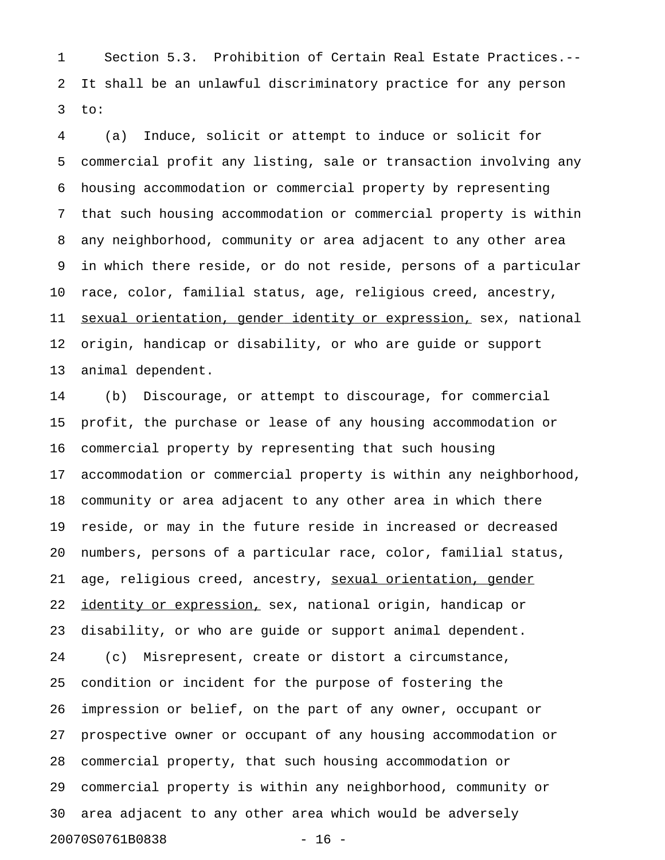1 Section 5.3. Prohibition of Certain Real Estate Practices.-- 2 It shall be an unlawful discriminatory practice for any person 3 to:

4 (a) Induce, solicit or attempt to induce or solicit for 5 commercial profit any listing, sale or transaction involving any 6 housing accommodation or commercial property by representing 7 that such housing accommodation or commercial property is within 8 any neighborhood, community or area adjacent to any other area 9 in which there reside, or do not reside, persons of a particular 10 race, color, familial status, age, religious creed, ancestry, 11 sexual orientation, gender identity or expression, sex, national 12 origin, handicap or disability, or who are guide or support 13 animal dependent.

14 (b) Discourage, or attempt to discourage, for commercial 15 profit, the purchase or lease of any housing accommodation or 16 commercial property by representing that such housing 17 accommodation or commercial property is within any neighborhood, 18 community or area adjacent to any other area in which there 19 reside, or may in the future reside in increased or decreased 20 numbers, persons of a particular race, color, familial status, 21 age, religious creed, ancestry, sexual orientation, gender 22 identity or expression, sex, national origin, handicap or 23 disability, or who are guide or support animal dependent. 24 (c) Misrepresent, create or distort a circumstance, 25 condition or incident for the purpose of fostering the 26 impression or belief, on the part of any owner, occupant or 27 prospective owner or occupant of any housing accommodation or 28 commercial property, that such housing accommodation or 29 commercial property is within any neighborhood, community or 30 area adjacent to any other area which would be adversely 20070S0761B0838 - 16 -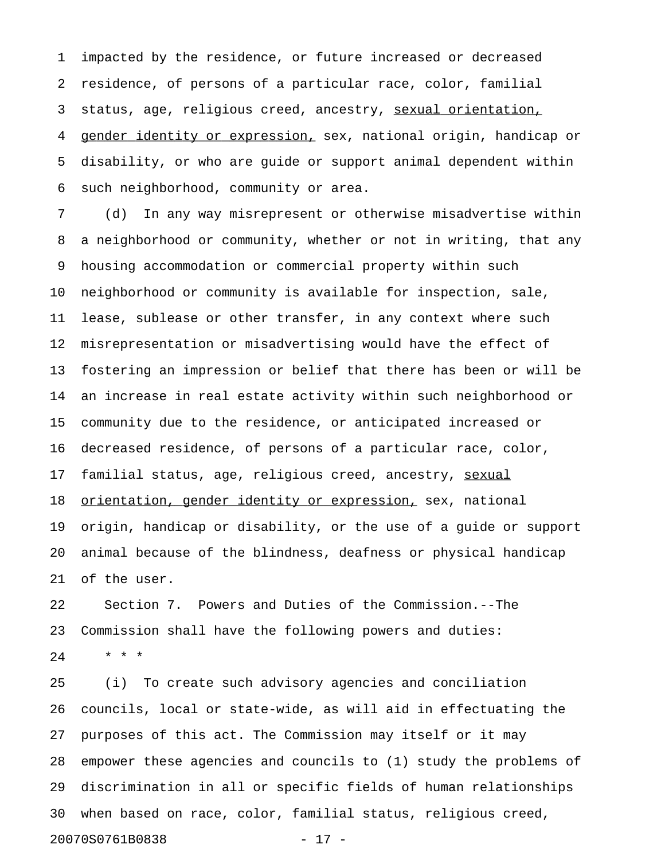1 impacted by the residence, or future increased or decreased 2 residence, of persons of a particular race, color, familial 3 status, age, religious creed, ancestry, sexual orientation, 4 gender identity or expression, sex, national origin, handicap or 5 disability, or who are guide or support animal dependent within 6 such neighborhood, community or area.

7 (d) In any way misrepresent or otherwise misadvertise within 8 a neighborhood or community, whether or not in writing, that any 9 housing accommodation or commercial property within such 10 neighborhood or community is available for inspection, sale, 11 lease, sublease or other transfer, in any context where such 12 misrepresentation or misadvertising would have the effect of 13 fostering an impression or belief that there has been or will be 14 an increase in real estate activity within such neighborhood or 15 community due to the residence, or anticipated increased or 16 decreased residence, of persons of a particular race, color, 17 familial status, age, religious creed, ancestry, sexual 18 orientation, gender identity or expression, sex, national 19 origin, handicap or disability, or the use of a guide or support 20 animal because of the blindness, deafness or physical handicap 21 of the user.

22 Section 7. Powers and Duties of the Commission.--The 23 Commission shall have the following powers and duties: 24 \* \* \*

25 (i) To create such advisory agencies and conciliation 26 councils, local or state-wide, as will aid in effectuating the 27 purposes of this act. The Commission may itself or it may 28 empower these agencies and councils to (1) study the problems of 29 discrimination in all or specific fields of human relationships 30 when based on race, color, familial status, religious creed, 20070S0761B0838 - 17 -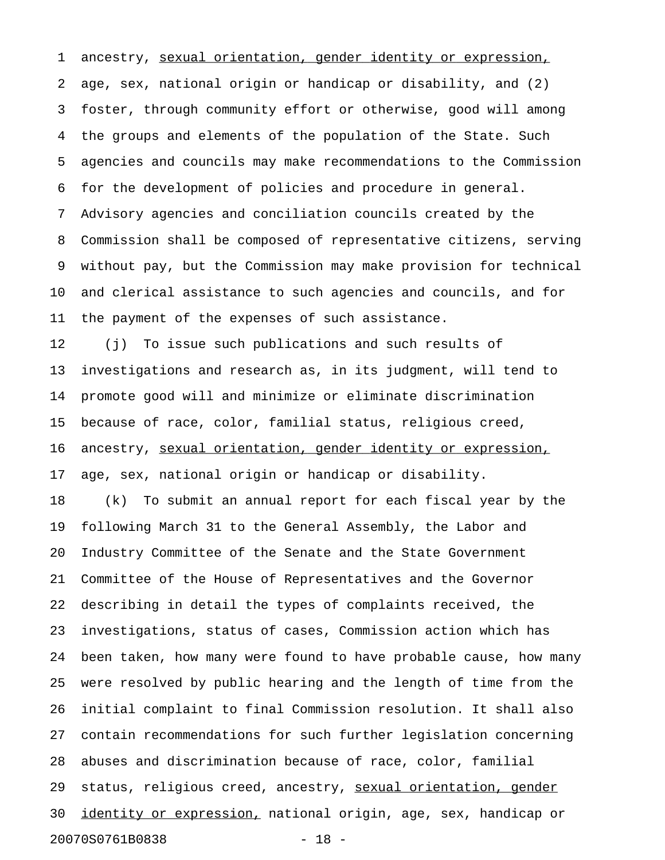1 ancestry, sexual orientation, gender identity or expression, 2 age, sex, national origin or handicap or disability, and (2) 3 foster, through community effort or otherwise, good will among 4 the groups and elements of the population of the State. Such 5 agencies and councils may make recommendations to the Commission 6 for the development of policies and procedure in general. 7 Advisory agencies and conciliation councils created by the 8 Commission shall be composed of representative citizens, serving 9 without pay, but the Commission may make provision for technical 10 and clerical assistance to such agencies and councils, and for 11 the payment of the expenses of such assistance.

12 (j) To issue such publications and such results of 13 investigations and research as, in its judgment, will tend to 14 promote good will and minimize or eliminate discrimination 15 because of race, color, familial status, religious creed, 16 ancestry, sexual orientation, gender identity or expression, 17 age, sex, national origin or handicap or disability.

18 (k) To submit an annual report for each fiscal year by the 19 following March 31 to the General Assembly, the Labor and 20 Industry Committee of the Senate and the State Government 21 Committee of the House of Representatives and the Governor 22 describing in detail the types of complaints received, the 23 investigations, status of cases, Commission action which has 24 been taken, how many were found to have probable cause, how many 25 were resolved by public hearing and the length of time from the 26 initial complaint to final Commission resolution. It shall also 27 contain recommendations for such further legislation concerning 28 abuses and discrimination because of race, color, familial 29 status, religious creed, ancestry, sexual orientation, gender 30 identity or expression, national origin, age, sex, handicap or 20070S0761B0838 - 18 -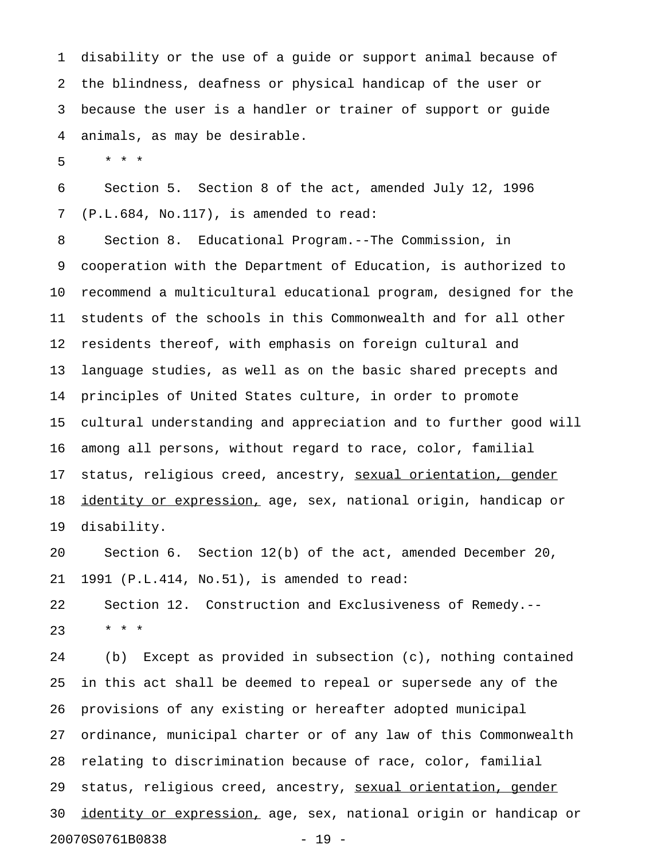1 disability or the use of a guide or support animal because of 2 the blindness, deafness or physical handicap of the user or 3 because the user is a handler or trainer of support or guide 4 animals, as may be desirable.

5 \* \* \*

6 Section 5. Section 8 of the act, amended July 12, 1996 7 (P.L.684, No.117), is amended to read:

8 Section 8. Educational Program.--The Commission, in 9 cooperation with the Department of Education, is authorized to 10 recommend a multicultural educational program, designed for the 11 students of the schools in this Commonwealth and for all other 12 residents thereof, with emphasis on foreign cultural and 13 language studies, as well as on the basic shared precepts and 14 principles of United States culture, in order to promote 15 cultural understanding and appreciation and to further good will 16 among all persons, without regard to race, color, familial 17 status, religious creed, ancestry, sexual orientation, gender 18 identity or expression, age, sex, national origin, handicap or 19 disability.

20 Section 6. Section 12(b) of the act, amended December 20, 21 1991 (P.L.414, No.51), is amended to read:

22 Section 12. Construction and Exclusiveness of Remedy.--  $23 + * * *$ 

24 (b) Except as provided in subsection (c), nothing contained 25 in this act shall be deemed to repeal or supersede any of the 26 provisions of any existing or hereafter adopted municipal 27 ordinance, municipal charter or of any law of this Commonwealth 28 relating to discrimination because of race, color, familial 29 status, religious creed, ancestry, sexual orientation, gender 30 identity or expression, age, sex, national origin or handicap or 20070S0761B0838 - 19 -